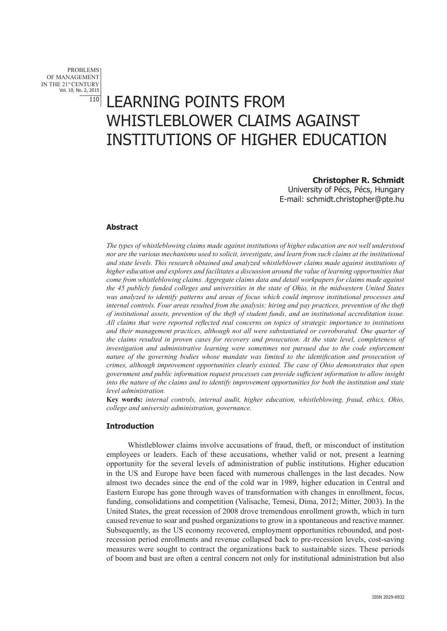PROBLEMS OF MANAGEMENT IN THE 21st CENTURY Vol. 10, No. 2, 2015

# **IIO LEARNING POINTS FROM** WHISTLEBLOWER CLAIMS AGAINST INSTITUTIONS OF HIGHER EDUCATION

**Christopher R. Schmidt** University of Pécs, Pécs, Hungary E-mail: schmidt.christopher@pte.hu

#### **Abstract**

*The types of whistleblowing claims made against institutions of higher education are not well understood nor are the various mechanisms used to solicit, investigate, and learn from such claims at the institutional and state levels. This research obtained and analyzed whistleblower claims made against institutions of higher education and explores and facilitates a discussion around the value of learning opportunities that come from whistleblowing claims. Aggregate claims data and detail workpapers for claims made against the 45 publicly funded colleges and universities in the state of Ohio, in the midwestern United States was analyzed to identify patterns and areas of focus which could improve institutional processes and internal controls. Four areas resulted from the analysis: hiring and pay practices, prevention of the theft of institutional assets, prevention of the theft of student funds, and an institutional accreditation issue. All claims that were reported reflected real concerns on topics of strategic importance to institutions and their management practices, although not all were substantiated or corroborated. One quarter of the claims resulted in proven cases for recovery and prosecution. At the state level, completeness of investigation and administrative learning were sometimes not pursued due to the code enforcement nature of the governing bodies whose mandate was limited to the identification and prosecution of crimes, although improvement opportunities clearly existed. The case of Ohio demonstrates that open government and public information request processes can provide sufficient information to allow insight into the nature of the claims and to identify improvement opportunities for both the institution and state level administration.* 

**Key words:** *internal controls, internal audit, higher education, whistleblowing, fraud, ethics, Ohio, college and university administration, governance.* 

# **Introduction**

Whistleblower claims involve accusations of fraud, theft, or misconduct of institution employees or leaders. Each of these accusations, whether valid or not, present a learning opportunity for the several levels of administration of public institutions. Higher education in the US and Europe have been faced with numerous challenges in the last decades. Now almost two decades since the end of the cold war in 1989, higher education in Central and Eastern Europe has gone through waves of transformation with changes in enrollment, focus, funding, consolidations and competition (Valisache, Temesi, Dima, 2012; Mitter, 2003). In the United States, the great recession of 2008 drove tremendous enrollment growth, which in turn caused revenue to soar and pushed organizations to grow in a spontaneous and reactive manner. Subsequently, as the US economy recovered, employment opportunities rebounded, and postrecession period enrollments and revenue collapsed back to pre-recession levels, cost-saving measures were sought to contract the organizations back to sustainable sizes. These periods of boom and bust are often a central concern not only for institutional administration but also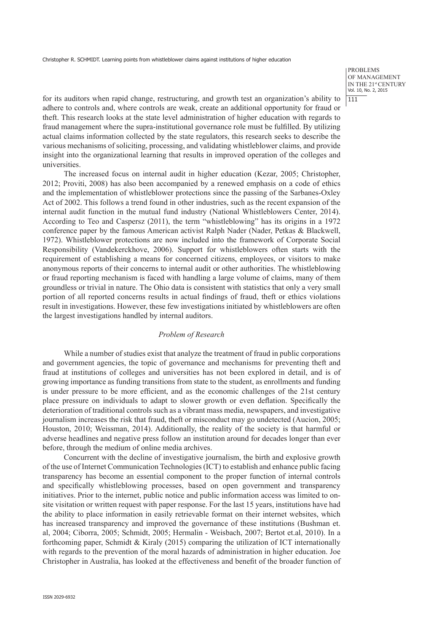PROBLEMS OF MANAGEMENT IN THE 21st CENTURY Vol. 10, No. 2, 2015 111

for its auditors when rapid change, restructuring, and growth test an organization's ability to adhere to controls and, where controls are weak, create an additional opportunity for fraud or theft. This research looks at the state level administration of higher education with regards to fraud management where the supra-institutional governance role must be fulfilled. By utilizing actual claims information collected by the state regulators, this research seeks to describe the various mechanisms of soliciting, processing, and validating whistleblower claims, and provide insight into the organizational learning that results in improved operation of the colleges and universities.

The increased focus on internal audit in higher education (Kezar, 2005; Christopher, 2012; Proviti, 2008) has also been accompanied by a renewed emphasis on a code of ethics and the implementation of whistleblower protections since the passing of the Sarbanes-Oxley Act of 2002. This follows a trend found in other industries, such as the recent expansion of the internal audit function in the mutual fund industry (National Whistleblowers Center, 2014). According to Teo and Caspersz (2011), the term "whistleblowing" has its origins in a 1972 conference paper by the famous American activist Ralph Nader (Nader, Petkas & Blackwell, 1972). Whistleblower protections are now included into the framework of Corporate Social Responsibility (Vandekerckhove, 2006). Support for whistleblowers often starts with the requirement of establishing a means for concerned citizens, employees, or visitors to make anonymous reports of their concerns to internal audit or other authorities. The whistleblowing or fraud reporting mechanism is faced with handling a large volume of claims, many of them groundless or trivial in nature. The Ohio data is consistent with statistics that only a very small portion of all reported concerns results in actual findings of fraud, theft or ethics violations result in investigations. However, these few investigations initiated by whistleblowers are often the largest investigations handled by internal auditors.

#### *Problem of Research*

While a number of studies exist that analyze the treatment of fraud in public corporations and government agencies, the topic of governance and mechanisms for preventing theft and fraud at institutions of colleges and universities has not been explored in detail, and is of growing importance as funding transitions from state to the student, as enrollments and funding is under pressure to be more efficient, and as the economic challenges of the 21st century place pressure on individuals to adapt to slower growth or even deflation. Specifically the deterioration of traditional controls such as a vibrant mass media, newspapers, and investigative journalism increases the risk that fraud, theft or misconduct may go undetected (Aucion, 2005; Houston, 2010; Weissman, 2014). Additionally, the reality of the society is that harmful or adverse headlines and negative press follow an institution around for decades longer than ever before, through the medium of online media archives.

Concurrent with the decline of investigative journalism, the birth and explosive growth of the use of Internet Communication Technologies (ICT) to establish and enhance public facing transparency has become an essential component to the proper function of internal controls and specifically whistleblowing processes, based on open government and transparency initiatives. Prior to the internet, public notice and public information access was limited to onsite visitation or written request with paper response. For the last 15 years, institutions have had the ability to place information in easily retrievable format on their internet websites, which has increased transparency and improved the governance of these institutions (Bushman et. al, 2004; Ciborra, 2005; Schmidt, 2005; Hermalin - Weisbach, 2007; Bertot et.al, 2010). In a forthcoming paper, Schmidt & Kiraly (2015) comparing the utilization of ICT internationally with regards to the prevention of the moral hazards of administration in higher education. Joe Christopher in Australia, has looked at the effectiveness and benefit of the broader function of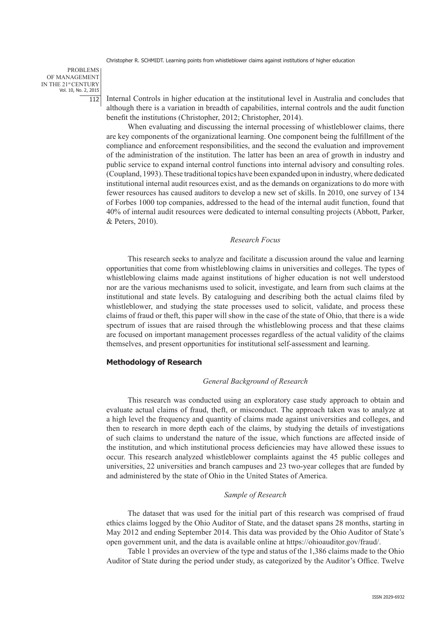PROBLEMS OF MANAGEMENT IN THE 21st CENTURY Vol. 10, No. 2, 2015 112

Internal Controls in higher education at the institutional level in Australia and concludes that although there is a variation in breadth of capabilities, internal controls and the audit function benefit the institutions (Christopher, 2012; Christopher, 2014).

When evaluating and discussing the internal processing of whistleblower claims, there are key components of the organizational learning. One component being the fulfillment of the compliance and enforcement responsibilities, and the second the evaluation and improvement of the administration of the institution. The latter has been an area of growth in industry and public service to expand internal control functions into internal advisory and consulting roles. (Coupland, 1993). These traditional topics have been expanded upon in industry, where dedicated institutional internal audit resources exist, and as the demands on organizations to do more with fewer resources has caused auditors to develop a new set of skills. In 2010, one survey of 134 of Forbes 1000 top companies, addressed to the head of the internal audit function, found that 40% of internal audit resources were dedicated to internal consulting projects (Abbott, Parker, & Peters, 2010).

#### *Research Focus*

This research seeks to analyze and facilitate a discussion around the value and learning opportunities that come from whistleblowing claims in universities and colleges. The types of whistleblowing claims made against institutions of higher education is not well understood nor are the various mechanisms used to solicit, investigate, and learn from such claims at the institutional and state levels. By cataloguing and describing both the actual claims filed by whistleblower, and studying the state processes used to solicit, validate, and process these claims of fraud or theft, this paper will show in the case of the state of Ohio, that there is a wide spectrum of issues that are raised through the whistleblowing process and that these claims are focused on important management processes regardless of the actual validity of the claims themselves, and present opportunities for institutional self-assessment and learning.

#### **Methodology of Research**

## *General Background of Research*

This research was conducted using an exploratory case study approach to obtain and evaluate actual claims of fraud, theft, or misconduct. The approach taken was to analyze at a high level the frequency and quantity of claims made against universities and colleges, and then to research in more depth each of the claims, by studying the details of investigations of such claims to understand the nature of the issue, which functions are affected inside of the institution, and which institutional process deficiencies may have allowed these issues to occur. This research analyzed whistleblower complaints against the 45 public colleges and universities, 22 universities and branch campuses and 23 two-year colleges that are funded by and administered by the state of Ohio in the United States of America.

#### *Sample of Research*

The dataset that was used for the initial part of this research was comprised of fraud ethics claims logged by the Ohio Auditor of State, and the dataset spans 28 months, starting in May 2012 and ending September 2014. This data was provided by the Ohio Auditor of State's open government unit, and the data is available online at https://ohioauditor.gov/fraud/.

Table 1 provides an overview of the type and status of the 1,386 claims made to the Ohio Auditor of State during the period under study, as categorized by the Auditor's Office. Twelve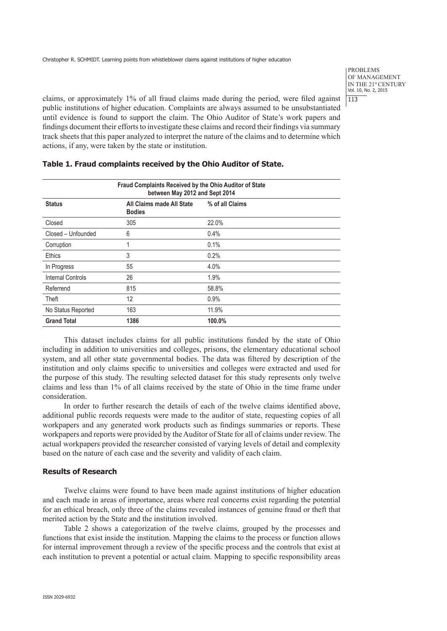PROBLEMS OF MANAGEMENT IN THE 21st CENTURY Vol. 10, No. 2, 2015 113

claims, or approximately 1% of all fraud claims made during the period, were filed against public institutions of higher education. Complaints are always assumed to be unsubstantiated until evidence is found to support the claim. The Ohio Auditor of State's work papers and findings document their efforts to investigate these claims and record their findings via summary track sheets that this paper analyzed to interpret the nature of the claims and to determine which actions, if any, were taken by the state or institution.

| Fraud Complaints Received by the Ohio Auditor of State<br>between May 2012 and Sept 2014 |                                            |                 |  |  |  |  |
|------------------------------------------------------------------------------------------|--------------------------------------------|-----------------|--|--|--|--|
| <b>Status</b>                                                                            | All Claims made All State<br><b>Bodies</b> | % of all Claims |  |  |  |  |
| Closed                                                                                   | 305                                        | 22.0%           |  |  |  |  |
| Closed - Unfounded                                                                       | 6                                          | 0.4%            |  |  |  |  |
| Corruption                                                                               |                                            | 0.1%            |  |  |  |  |
| Ethics                                                                                   | 3                                          | 0.2%            |  |  |  |  |
| In Progress                                                                              | 55                                         | 4.0%            |  |  |  |  |
| <b>Internal Controls</b>                                                                 | 26                                         | 1.9%            |  |  |  |  |
| Referrend                                                                                | 815                                        | 58.8%           |  |  |  |  |
| Theft                                                                                    | 12                                         | 0.9%            |  |  |  |  |
| No Status Reported                                                                       | 163                                        | 11.9%           |  |  |  |  |
| <b>Grand Total</b>                                                                       | 1386                                       | 100.0%          |  |  |  |  |

**Table 1. Fraud complaints received by the Ohio Auditor of State.** 

This dataset includes claims for all public institutions funded by the state of Ohio including in addition to universities and colleges, prisons, the elementary educational school system, and all other state governmental bodies. The data was filtered by description of the institution and only claims specific to universities and colleges were extracted and used for the purpose of this study. The resulting selected dataset for this study represents only twelve claims and less than 1% of all claims received by the state of Ohio in the time frame under consideration.

In order to further research the details of each of the twelve claims identified above, additional public records requests were made to the auditor of state, requesting copies of all workpapers and any generated work products such as findings summaries or reports. These workpapers and reports were provided by the Auditor of State for all of claims under review. The actual workpapers provided the researcher consisted of varying levels of detail and complexity based on the nature of each case and the severity and validity of each claim.

# **Results of Research**

Twelve claims were found to have been made against institutions of higher education and each made in areas of importance, areas where real concerns exist regarding the potential for an ethical breach, only three of the claims revealed instances of genuine fraud or theft that merited action by the State and the institution involved.

Table 2 shows a categorization of the twelve claims, grouped by the processes and functions that exist inside the institution. Mapping the claims to the process or function allows for internal improvement through a review of the specific process and the controls that exist at each institution to prevent a potential or actual claim. Mapping to specific responsibility areas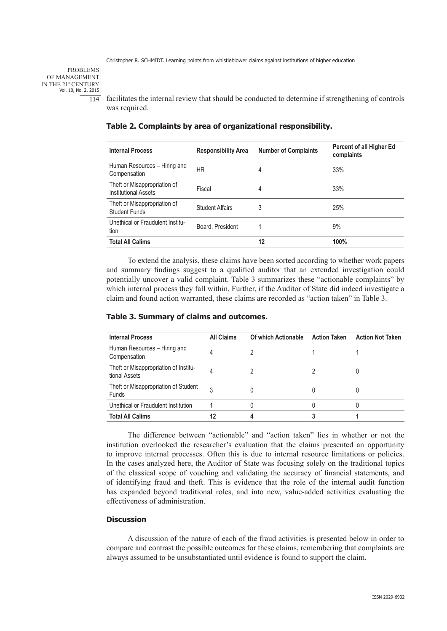PROBLEMS OF MANAGEMENT IN THE 21st CENTURY Vol. 10, No. 2, 2015 114

facilitates the internal review that should be conducted to determine if strengthening of controls was required.

| <b>Internal Process</b>                                     | <b>Responsibility Area</b> | <b>Number of Complaints</b> | Percent of all Higher Ed<br>complaints |
|-------------------------------------------------------------|----------------------------|-----------------------------|----------------------------------------|
| Human Resources - Hiring and<br>Compensation                | HR                         | 4                           | 33%                                    |
| Theft or Misappropriation of<br><b>Institutional Assets</b> | Fiscal                     | 4                           | 33%                                    |
| Theft or Misappropriation of<br><b>Student Funds</b>        | Student Affairs            | 3                           | 25%                                    |
| Unethical or Fraudulent Institu-<br>tion                    | Board, President           |                             | 9%                                     |
| <b>Total All Calims</b>                                     |                            | 12                          | 100%                                   |

#### **Table 2. Complaints by area of organizational responsibility.**

To extend the analysis, these claims have been sorted according to whether work papers and summary findings suggest to a qualified auditor that an extended investigation could potentially uncover a valid complaint. Table 3 summarizes these "actionable complaints" by which internal process they fall within. Further, if the Auditor of State did indeed investigate a claim and found action warranted, these claims are recorded as "action taken" in Table 3.

| <b>Internal Process</b>                                | <b>All Claims</b> | Of which Actionable | <b>Action Taken</b> | <b>Action Not Taken</b> |
|--------------------------------------------------------|-------------------|---------------------|---------------------|-------------------------|
| Human Resources - Hiring and<br>Compensation           |                   |                     |                     |                         |
| Theft or Misappropriation of Institu-<br>tional Assets |                   |                     |                     |                         |
| Theft or Misappropriation of Student<br><b>Funds</b>   | 3                 | 0                   |                     |                         |
| Unethical or Fraudulent Institution                    |                   | 0                   |                     |                         |
| <b>Total All Calims</b>                                |                   |                     |                     |                         |

# **Table 3. Summary of claims and outcomes.**

The difference between "actionable" and "action taken" lies in whether or not the institution overlooked the researcher's evaluation that the claims presented an opportunity to improve internal processes. Often this is due to internal resource limitations or policies. In the cases analyzed here, the Auditor of State was focusing solely on the traditional topics of the classical scope of vouching and validating the accuracy of financial statements, and of identifying fraud and theft. This is evidence that the role of the internal audit function has expanded beyond traditional roles, and into new, value-added activities evaluating the effectiveness of administration.

# **Discussion**

A discussion of the nature of each of the fraud activities is presented below in order to compare and contrast the possible outcomes for these claims, remembering that complaints are always assumed to be unsubstantiated until evidence is found to support the claim.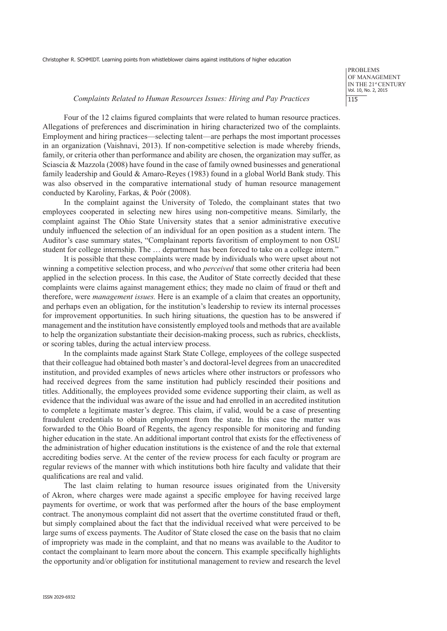PROBLEMS OF MANAGEMENT IN THE 21st CENTURY Vol. 10, No. 2, 2015 115

#### *Complaints Related to Human Resources Issues: Hiring and Pay Practices*

Four of the 12 claims figured complaints that were related to human resource practices. Allegations of preferences and discrimination in hiring characterized two of the complaints. Employment and hiring practices—selecting talent—are perhaps the most important processes in an organization (Vaishnavi, 2013). If non-competitive selection is made whereby friends, family, or criteria other than performance and ability are chosen, the organization may suffer, as Sciascia & Mazzola (2008) have found in the case of family owned businesses and generational family leadership and Gould & Amaro-Reyes (1983) found in a global World Bank study. This was also observed in the comparative international study of human resource management conducted by Karoliny, Farkas, & Poór (2008).

In the complaint against the University of Toledo, the complainant states that two employees cooperated in selecting new hires using non-competitive means. Similarly, the complaint against The Ohio State University states that a senior administrative executive unduly influenced the selection of an individual for an open position as a student intern. The Auditor's case summary states, "Complainant reports favoritism of employment to non OSU student for college internship. The … department has been forced to take on a college intern."

It is possible that these complaints were made by individuals who were upset about not winning a competitive selection process, and who *perceived* that some other criteria had been applied in the selection process. In this case, the Auditor of State correctly decided that these complaints were claims against management ethics; they made no claim of fraud or theft and therefore, were *management issues.* Here is an example of a claim that creates an opportunity, and perhaps even an obligation, for the institution's leadership to review its internal processes for improvement opportunities. In such hiring situations, the question has to be answered if management and the institution have consistently employed tools and methods that are available to help the organization substantiate their decision-making process, such as rubrics, checklists, or scoring tables, during the actual interview process.

In the complaints made against Stark State College, employees of the college suspected that their colleague had obtained both master's and doctoral-level degrees from an unaccredited institution, and provided examples of news articles where other instructors or professors who had received degrees from the same institution had publicly rescinded their positions and titles. Additionally, the employees provided some evidence supporting their claim, as well as evidence that the individual was aware of the issue and had enrolled in an accredited institution to complete a legitimate master's degree. This claim, if valid, would be a case of presenting fraudulent credentials to obtain employment from the state. In this case the matter was forwarded to the Ohio Board of Regents, the agency responsible for monitoring and funding higher education in the state. An additional important control that exists for the effectiveness of the administration of higher education institutions is the existence of and the role that external accrediting bodies serve. At the center of the review process for each faculty or program are regular reviews of the manner with which institutions both hire faculty and validate that their qualifications are real and valid.

The last claim relating to human resource issues originated from the University of Akron, where charges were made against a specific employee for having received large payments for overtime, or work that was performed after the hours of the base employment contract. The anonymous complaint did not assert that the overtime constituted fraud or theft, but simply complained about the fact that the individual received what were perceived to be large sums of excess payments. The Auditor of State closed the case on the basis that no claim of impropriety was made in the complaint, and that no means was available to the Auditor to contact the complainant to learn more about the concern. This example specifically highlights the opportunity and/or obligation for institutional management to review and research the level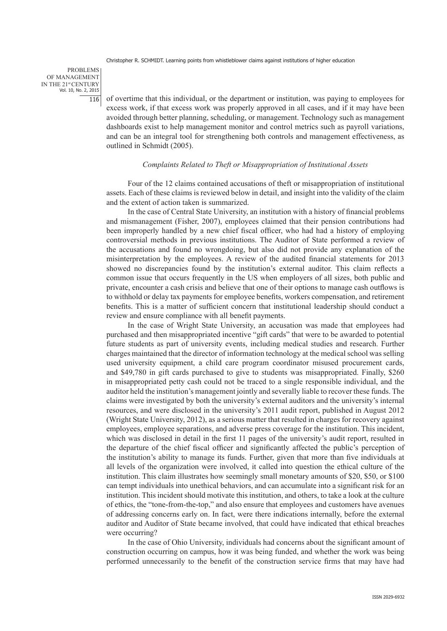PROBLEMS OF MANAGEMENT IN THE 21st CENTURY Vol. 10, No. 2, 2015 116

of overtime that this individual, or the department or institution, was paying to employees for excess work, if that excess work was properly approved in all cases, and if it may have been avoided through better planning, scheduling, or management. Technology such as management dashboards exist to help management monitor and control metrics such as payroll variations, and can be an integral tool for strengthening both controls and management effectiveness, as outlined in Schmidt (2005).

## *Complaints Related to Theft or Misappropriation of Institutional Assets*

Four of the 12 claims contained accusations of theft or misappropriation of institutional assets. Each of these claims is reviewed below in detail, and insight into the validity of the claim and the extent of action taken is summarized.

In the case of Central State University, an institution with a history of financial problems and mismanagement (Fisher, 2007), employees claimed that their pension contributions had been improperly handled by a new chief fiscal officer, who had had a history of employing controversial methods in previous institutions. The Auditor of State performed a review of the accusations and found no wrongdoing, but also did not provide any explanation of the misinterpretation by the employees. A review of the audited financial statements for 2013 showed no discrepancies found by the institution's external auditor. This claim reflects a common issue that occurs frequently in the US when employers of all sizes, both public and private, encounter a cash crisis and believe that one of their options to manage cash outflows is to withhold or delay tax payments for employee benefits, workers compensation, and retirement benefits. This is a matter of sufficient concern that institutional leadership should conduct a review and ensure compliance with all benefit payments.

In the case of Wright State University, an accusation was made that employees had purchased and then misappropriated incentive "gift cards" that were to be awarded to potential future students as part of university events, including medical studies and research. Further charges maintained that the director of information technology at the medical school was selling used university equipment, a child care program coordinator misused procurement cards, and \$49,780 in gift cards purchased to give to students was misappropriated. Finally, \$260 in misappropriated petty cash could not be traced to a single responsible individual, and the auditor held the institution's management jointly and severally liable to recover these funds. The claims were investigated by both the university's external auditors and the university's internal resources, and were disclosed in the university's 2011 audit report, published in August 2012 (Wright State University, 2012), as a serious matter that resulted in charges for recovery against employees, employee separations, and adverse press coverage for the institution. This incident, which was disclosed in detail in the first 11 pages of the university's audit report, resulted in the departure of the chief fiscal officer and significantly affected the public's perception of the institution's ability to manage its funds. Further, given that more than five individuals at all levels of the organization were involved, it called into question the ethical culture of the institution. This claim illustrates how seemingly small monetary amounts of \$20, \$50, or \$100 can tempt individuals into unethical behaviors, and can accumulate into a significant risk for an institution. This incident should motivate this institution, and others, to take a look at the culture of ethics, the "tone-from-the-top," and also ensure that employees and customers have avenues of addressing concerns early on. In fact, were there indications internally, before the external auditor and Auditor of State became involved, that could have indicated that ethical breaches were occurring?

In the case of Ohio University, individuals had concerns about the significant amount of construction occurring on campus, how it was being funded, and whether the work was being performed unnecessarily to the benefit of the construction service firms that may have had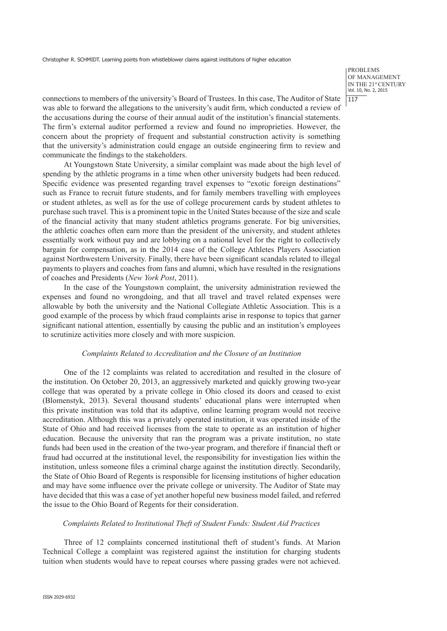PROBLEMS OF MANAGEMENT IN THE 21st CENTURY Vol. 10, No. 2, 2015 117

connections to members of the university's Board of Trustees. In this case, The Auditor of State was able to forward the allegations to the university's audit firm, which conducted a review of the accusations during the course of their annual audit of the institution's financial statements. The firm's external auditor performed a review and found no improprieties. However, the concern about the propriety of frequent and substantial construction activity is something that the university's administration could engage an outside engineering firm to review and communicate the findings to the stakeholders.

At Youngstown State University, a similar complaint was made about the high level of spending by the athletic programs in a time when other university budgets had been reduced. Specific evidence was presented regarding travel expenses to "exotic foreign destinations" such as France to recruit future students, and for family members travelling with employees or student athletes, as well as for the use of college procurement cards by student athletes to purchase such travel. This is a prominent topic in the United States because of the size and scale of the financial activity that many student athletics programs generate. For big universities, the athletic coaches often earn more than the president of the university, and student athletes essentially work without pay and are lobbying on a national level for the right to collectively bargain for compensation, as in the 2014 case of the College Athletes Players Association against Northwestern University. Finally, there have been significant scandals related to illegal payments to players and coaches from fans and alumni, which have resulted in the resignations of coaches and Presidents (*New York Post*, 2011).

In the case of the Youngstown complaint, the university administration reviewed the expenses and found no wrongdoing, and that all travel and travel related expenses were allowable by both the university and the National Collegiate Athletic Association. This is a good example of the process by which fraud complaints arise in response to topics that garner significant national attention, essentially by causing the public and an institution's employees to scrutinize activities more closely and with more suspicion.

# *Complaints Related to Accreditation and the Closure of an Institution*

One of the 12 complaints was related to accreditation and resulted in the closure of the institution. On October 20, 2013, an aggressively marketed and quickly growing two-year college that was operated by a private college in Ohio closed its doors and ceased to exist (Blomenstyk, 2013). Several thousand students' educational plans were interrupted when this private institution was told that its adaptive, online learning program would not receive accreditation. Although this was a privately operated institution, it was operated inside of the State of Ohio and had received licenses from the state to operate as an institution of higher education. Because the university that ran the program was a private institution, no state funds had been used in the creation of the two-year program, and therefore if financial theft or fraud had occurred at the institutional level, the responsibility for investigation lies within the institution, unless someone files a criminal charge against the institution directly. Secondarily, the State of Ohio Board of Regents is responsible for licensing institutions of higher education and may have some influence over the private college or university. The Auditor of State may have decided that this was a case of yet another hopeful new business model failed, and referred the issue to the Ohio Board of Regents for their consideration.

#### *Complaints Related to Institutional Theft of Student Funds: Student Aid Practices*

Three of 12 complaints concerned institutional theft of student's funds. At Marion Technical College a complaint was registered against the institution for charging students tuition when students would have to repeat courses where passing grades were not achieved.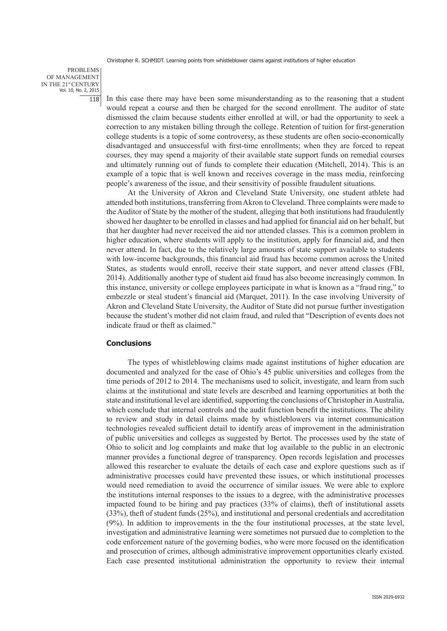PROBLEMS OF MANAGEMENT IN THE 21st CENTURY Vol. 10, No. 2, 2015 118

In this case there may have been some misunderstanding as to the reasoning that a student would repeat a course and then be charged for the second enrollment. The auditor of state dismissed the claim because students either enrolled at will, or had the opportunity to seek a correction to any mistaken billing through the college. Retention of tuition for first-generation college students is a topic of some controversy, as these students are often socio-economically disadvantaged and unsuccessful with first-time enrollments; when they are forced to repeat courses, they may spend a majority of their available state support funds on remedial courses and ultimately running out of funds to complete their education (Mitchell, 2014). This is an example of a topic that is well known and receives coverage in the mass media, reinforcing people's awareness of the issue, and their sensitivity of possible fraudulent situations.

At the University of Akron and Cleveland State University, one student athlete had attended both institutions, transferring from Akron to Cleveland. Three complaints were made to the Auditor of State by the mother of the student, alleging that both institutions had fraudulently showed her daughter to be enrolled in classes and had applied for financial aid on her behalf, but that her daughter had never received the aid nor attended classes. This is a common problem in higher education, where students will apply to the institution, apply for financial aid, and then never attend. In fact, due to the relatively large amounts of state support available to students with low-income backgrounds, this financial aid fraud has become common across the United States, as students would enroll, receive their state support, and never attend classes (FBI, 2014). Additionally another type of student aid fraud has also become increasingly common. In this instance, university or college employees participate in what is known as a "fraud ring," to embezzle or steal student's financial aid (Marquet, 2011). In the case involving University of Akron and Cleveland State University, the Auditor of State did not pursue further investigation because the student's mother did not claim fraud, and ruled that "Description of events does not indicate fraud or theft as claimed."

## **Conclusions**

The types of whistleblowing claims made against institutions of higher education are documented and analyzed for the case of Ohio's 45 public universities and colleges from the time periods of 2012 to 2014. The mechanisms used to solicit, investigate, and learn from such claims at the institutional and state levels are described and learning opportunities at both the state and institutional level are identified, supporting the conclusions of Christopher in Australia, which conclude that internal controls and the audit function benefit the institutions. The ability to review and study in detail claims made by whistleblowers via internet communication technologies revealed sufficient detail to identify areas of improvement in the administration of public universities and colleges as suggested by Bertot. The processes used by the state of Ohio to solicit and log complaints and make that log available to the public in an electronic manner provides a functional degree of transparency. Open records legislation and processes allowed this researcher to evaluate the details of each case and explore questions such as if administrative processes could have prevented these issues, or which institutional processes would need remediation to avoid the occurrence of similar issues. We were able to explore the institutions internal responses to the issues to a degree, with the administrative processes impacted found to be hiring and pay practices (33% of claims), theft of institutional assets (33%), theft of student funds (25%), and institutional and personal credentials and accreditation (9%). In addition to improvements in the the four institutional processes, at the state level, investigation and administrative learning were sometimes not pursued due to completion to the code enforcement nature of the governing bodies, who were more focused on the identification and prosecution of crimes, although administrative improvement opportunities clearly existed. Each case presented institutional administration the opportunity to review their internal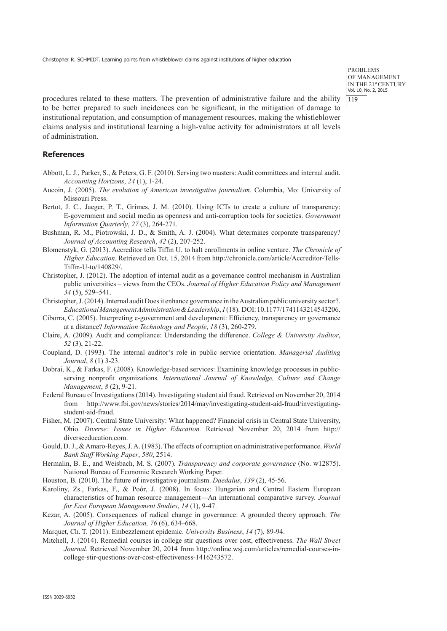PROBLEMS OF MANAGEMENT IN THE 21st CENTURY Vol. 10, No. 2, 2015  $119$ 

procedures related to these matters. The prevention of administrative failure and the ability to be better prepared to such incidences can be significant, in the mitigation of damage to institutional reputation, and consumption of management resources, making the whistleblower claims analysis and institutional learning a high-value activity for administrators at all levels of administration.

# **References**

- Abbott, L. J., Parker, S., & Peters, G. F. (2010). Serving two masters: Audit committees and internal audit. *Accounting Horizons*, *24* (1), 1-24.
- Aucoin, J. (2005). *The evolution of American investigative journalism*. Columbia, Mo: University of Missouri Press.
- Bertot, J. C., Jaeger, P. T., Grimes, J. M. (2010). Using ICTs to create a culture of transparency: E-government and social media as openness and anti-corruption tools for societies. *Government Information Quarterly*, *27* (3), 264-271.
- Bushman, R. M., Piotrowski, J. D., & Smith, A. J. (2004). What determines corporate transparency? *Journal of Accounting Research*, *42* (2), 207-252.
- Blomenstyk, G. (2013). Accreditor tells Tiffin U. to halt enrollments in online venture. *The Chronicle of Higher Education.* Retrieved on Oct. 15, 2014 from http://chronicle.com/article/Accreditor-Tells-Tiffin-U-to/140829/.
- Christopher, J. (2012). The adoption of internal audit as a governance control mechanism in Australian public universities – views from the CEOs. *Journal of Higher Education Policy and Management 34* (5), 529–541.
- Christopher, J. (2014). Internal audit Does it enhance governance in the Australian public university sector?. *Educational Management Administration & Leadership*, *1* (18). DOI: 10.1177/1741143214543206.
- Ciborra, C. (2005). Interpreting e-government and development: Efficiency, transparency or governance at a distance? *Information Technology and People*, *18* (3), 260-279.
- Claire, A. (2009). Audit and compliance: Understanding the difference. *College & University Auditor*, *52* (3), 21-22.
- Coupland, D. (1993). The internal auditor's role in public service orientation. *Managerial Auditing Journal*, *8* (1) 3-23.
- Dobrai, K., & Farkas, F. (2008). Knowledge-based services: Examining knowledge processes in publicserving nonprofit organizations. *International Journal of Knowledge, Culture and Change Management*, *8* (2), 9-21.
- Federal Bureau of Investigations (2014). Investigating student aid fraud. Retrieved on November 20, 2014 from http://www.fbi.gov/news/stories/2014/may/investigating-student-aid-fraud/investigatingstudent-aid-fraud.
- Fisher, M. (2007). Central State University: What happened? Financial crisis in Central State University, Ohio. *Diverse: Issues in Higher Education.* Retrieved November 20, 2014 from http:// diverseeducation.com.
- Gould, D. J., & Amaro-Reyes, J. A. (1983). The effects of corruption on administrative performance. *World Bank Staff Working Paper*, *580*, 2514.
- Hermalin, B. E., and Weisbach, M. S. (2007). *Transparency and corporate governance* (No. w12875). National Bureau of Economic Research Working Paper.
- Houston, B. (2010). The future of investigative journalism. *Daedalus*, *139* (2), 45-56.
- Karoliny, Zs., Farkas, F., & Poór, J. (2008). In focus: Hungarian and Central Eastern European characteristics of human resource management—An international comparative survey. *Journal for East European Management Studies*, *14* (1), 9-47.
- Kezar, A. (2005). Consequences of radical change in governance: A grounded theory approach. *The Journal of Higher Education, 76* (6), 634–668.
- Marquet, Ch. T. (2011). Embezzlement epidemic. *University Business*, *14* (7), 89-94.
- Mitchell, J. (2014). Remedial courses in college stir questions over cost, effectiveness. *The Wall Street Journal*. Retrieved November 20, 2014 from http://online.wsj.com/articles/remedial-courses-incollege-stir-questions-over-cost-effectiveness-1416243572.